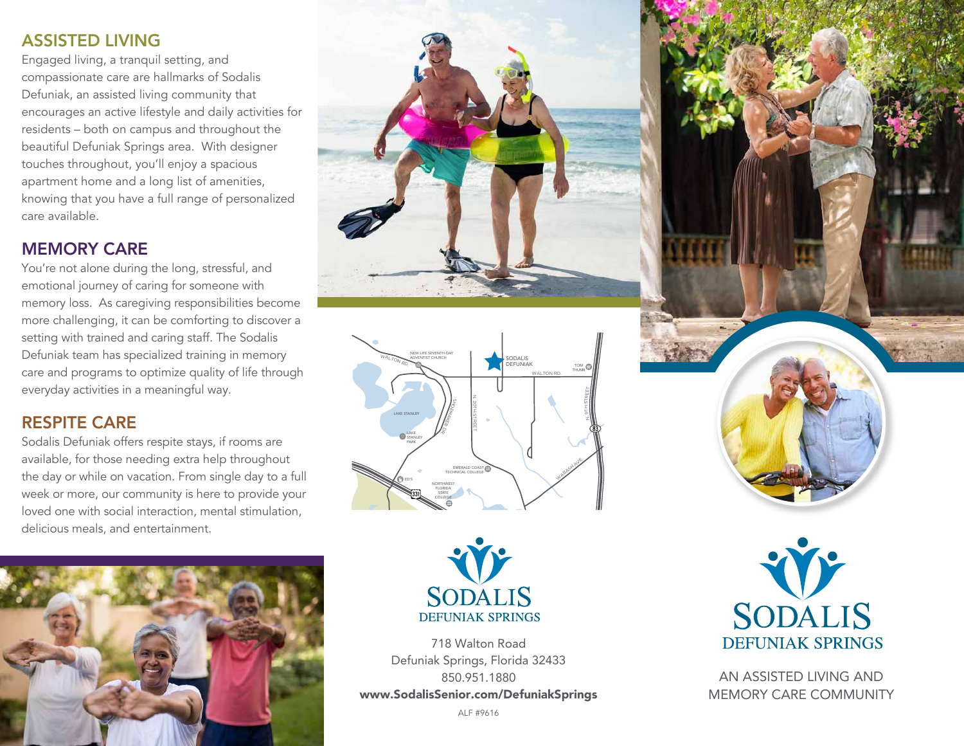### ASSISTED LIVING

Engaged living, a tranquil setting, and compassionate care are hallmarks of Sodalis Defuniak, an assisted living community that encourages an active lifestyle and daily activities for residents – both on campus and throughout the beautiful Defuniak Springs area. With designer touches throughout, you'll enjoy a spacious apartment home and a long list of amenities, knowing that you have a full range of personalized care available.

#### MEMORY CARE

You're not alone during the long, stressful, and emotional journey of caring for someone with memory loss. As caregiving responsibilities become more challenging, it can be comforting to discover a setting with trained and caring staff. The Sodalis Defuniak team has specialized training in memory care and programs to optimize quality of life through everyday activities in a meaningful way.

## RESPITE CARE

Sodalis Defuniak offers respite stays, if rooms are available, for those needing extra help throughout the day or while on vacation. From single day to a full week or more, our community is here to provide your loved one with social interaction, mental stimulation, delicious meals, and entertainment.









718 Walton Road Defuniak Springs, Florida 32433 850.951.1880 www.SodalisSenior.com/DefuniakSprings

ALF #9616



AN ASSISTED LIVING AND MEMORY CARE COMMUNITY